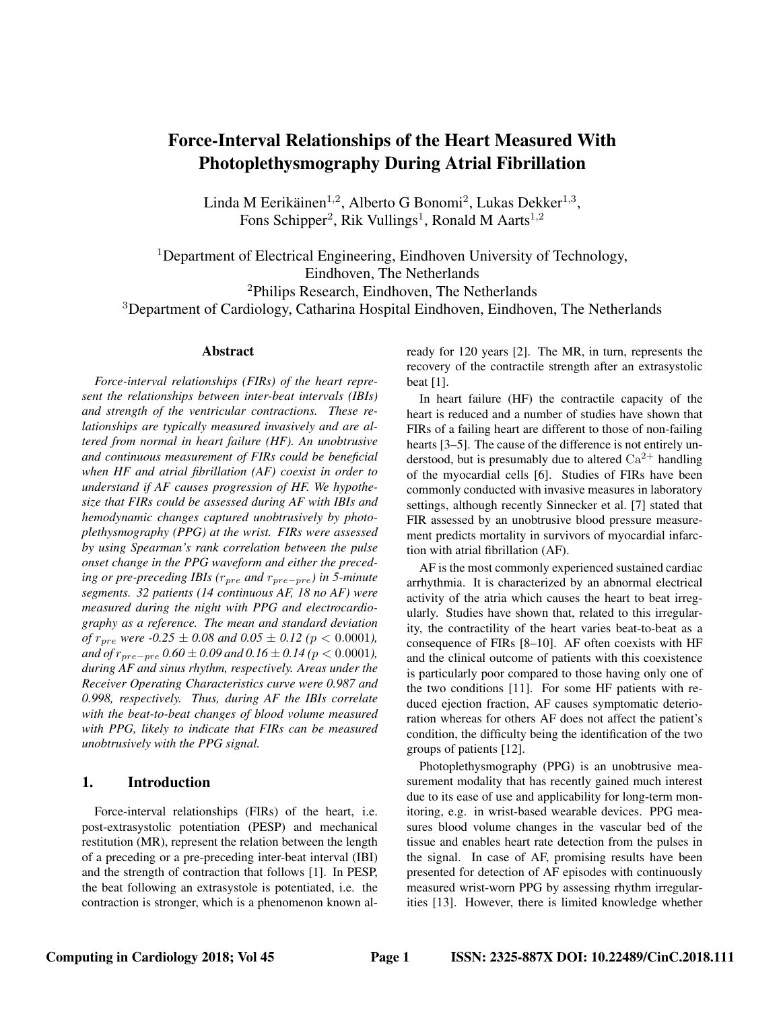# Force-Interval Relationships of the Heart Measured With Photoplethysmography During Atrial Fibrillation

Linda M Eerikäinen<sup>1,2</sup>, Alberto G Bonomi<sup>2</sup>, Lukas Dekker<sup>1,3</sup>, Fons Schipper<sup>2</sup>, Rik Vullings<sup>1</sup>, Ronald M Aarts<sup>1,2</sup>

<sup>1</sup>Department of Electrical Engineering, Eindhoven University of Technology, Eindhoven, The Netherlands <sup>2</sup>Philips Research, Eindhoven, The Netherlands

<sup>3</sup>Department of Cardiology, Catharina Hospital Eindhoven, Eindhoven, The Netherlands

### Abstract

*Force-interval relationships (FIRs) of the heart represent the relationships between inter-beat intervals (IBIs) and strength of the ventricular contractions. These relationships are typically measured invasively and are altered from normal in heart failure (HF). An unobtrusive and continuous measurement of FIRs could be beneficial when HF and atrial fibrillation (AF) coexist in order to understand if AF causes progression of HF. We hypothesize that FIRs could be assessed during AF with IBIs and hemodynamic changes captured unobtrusively by photoplethysmography (PPG) at the wrist. FIRs were assessed by using Spearman's rank correlation between the pulse onset change in the PPG waveform and either the preceding or pre-preceding IBIs (r<sub>pre</sub> and r<sub>pre−pre</sub>) in 5-minute segments. 32 patients (14 continuous AF, 18 no AF) were measured during the night with PPG and electrocardiography as a reference. The mean and standard deviation of*  $r_{pre}$  *were -0.25*  $\pm$  *0.08 and 0.05*  $\pm$  *0.12* ( $p < 0.0001$ ), *and of*  $r_{pre-pre}$  *0.60* ± *0.09* and *0.16* ± *0.14* ( $p$  < 0.0001), *during AF and sinus rhythm, respectively. Areas under the Receiver Operating Characteristics curve were 0.987 and 0.998, respectively. Thus, during AF the IBIs correlate with the beat-to-beat changes of blood volume measured with PPG, likely to indicate that FIRs can be measured unobtrusively with the PPG signal.*

# 1. Introduction

Force-interval relationships (FIRs) of the heart, i.e. post-extrasystolic potentiation (PESP) and mechanical restitution (MR), represent the relation between the length of a preceding or a pre-preceding inter-beat interval (IBI) and the strength of contraction that follows [1]. In PESP, the beat following an extrasystole is potentiated, i.e. the contraction is stronger, which is a phenomenon known already for 120 years [2]. The MR, in turn, represents the recovery of the contractile strength after an extrasystolic beat [1].

In heart failure (HF) the contractile capacity of the heart is reduced and a number of studies have shown that FIRs of a failing heart are different to those of non-failing hearts [3–5]. The cause of the difference is not entirely understood, but is presumably due to altered  $Ca^{2+}$  handling of the myocardial cells [6]. Studies of FIRs have been commonly conducted with invasive measures in laboratory settings, although recently Sinnecker et al. [7] stated that FIR assessed by an unobtrusive blood pressure measurement predicts mortality in survivors of myocardial infarction with atrial fibrillation (AF).

AF is the most commonly experienced sustained cardiac arrhythmia. It is characterized by an abnormal electrical activity of the atria which causes the heart to beat irregularly. Studies have shown that, related to this irregularity, the contractility of the heart varies beat-to-beat as a consequence of FIRs [8–10]. AF often coexists with HF and the clinical outcome of patients with this coexistence is particularly poor compared to those having only one of the two conditions [11]. For some HF patients with reduced ejection fraction, AF causes symptomatic deterioration whereas for others AF does not affect the patient's condition, the difficulty being the identification of the two groups of patients [12].

Photoplethysmography (PPG) is an unobtrusive measurement modality that has recently gained much interest due to its ease of use and applicability for long-term monitoring, e.g. in wrist-based wearable devices. PPG measures blood volume changes in the vascular bed of the tissue and enables heart rate detection from the pulses in the signal. In case of AF, promising results have been presented for detection of AF episodes with continuously measured wrist-worn PPG by assessing rhythm irregularities [13]. However, there is limited knowledge whether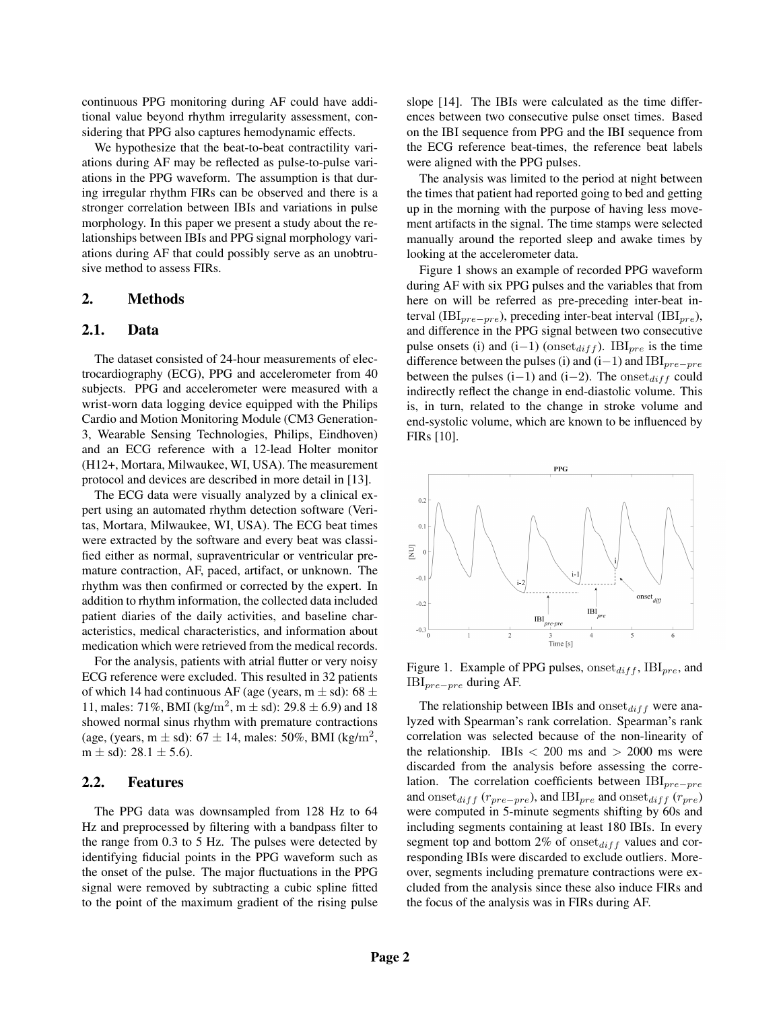continuous PPG monitoring during AF could have additional value beyond rhythm irregularity assessment, considering that PPG also captures hemodynamic effects.

We hypothesize that the beat-to-beat contractility variations during AF may be reflected as pulse-to-pulse variations in the PPG waveform. The assumption is that during irregular rhythm FIRs can be observed and there is a stronger correlation between IBIs and variations in pulse morphology. In this paper we present a study about the relationships between IBIs and PPG signal morphology variations during AF that could possibly serve as an unobtrusive method to assess FIRs.

### 2. Methods

## 2.1. Data

The dataset consisted of 24-hour measurements of electrocardiography (ECG), PPG and accelerometer from 40 subjects. PPG and accelerometer were measured with a wrist-worn data logging device equipped with the Philips Cardio and Motion Monitoring Module (CM3 Generation-3, Wearable Sensing Technologies, Philips, Eindhoven) and an ECG reference with a 12-lead Holter monitor (H12+, Mortara, Milwaukee, WI, USA). The measurement protocol and devices are described in more detail in [13].

The ECG data were visually analyzed by a clinical expert using an automated rhythm detection software (Veritas, Mortara, Milwaukee, WI, USA). The ECG beat times were extracted by the software and every beat was classified either as normal, supraventricular or ventricular premature contraction, AF, paced, artifact, or unknown. The rhythm was then confirmed or corrected by the expert. In addition to rhythm information, the collected data included patient diaries of the daily activities, and baseline characteristics, medical characteristics, and information about medication which were retrieved from the medical records.

For the analysis, patients with atrial flutter or very noisy ECG reference were excluded. This resulted in 32 patients of which 14 had continuous AF (age (years,  $m \pm sd$ ): 68  $\pm$ 11, males: 71%, BMI (kg/m<sup>2</sup>, m  $\pm$  sd): 29.8  $\pm$  6.9) and 18 showed normal sinus rhythm with premature contractions (age, (years, m  $\pm$  sd): 67  $\pm$  14, males: 50%, BMI (kg/m<sup>2</sup>, m  $\pm$  sd): 28.1  $\pm$  5.6).

#### 2.2. Features

The PPG data was downsampled from 128 Hz to 64 Hz and preprocessed by filtering with a bandpass filter to the range from 0.3 to 5 Hz. The pulses were detected by identifying fiducial points in the PPG waveform such as the onset of the pulse. The major fluctuations in the PPG signal were removed by subtracting a cubic spline fitted to the point of the maximum gradient of the rising pulse slope [14]. The IBIs were calculated as the time differences between two consecutive pulse onset times. Based on the IBI sequence from PPG and the IBI sequence from the ECG reference beat-times, the reference beat labels were aligned with the PPG pulses.

The analysis was limited to the period at night between the times that patient had reported going to bed and getting up in the morning with the purpose of having less movement artifacts in the signal. The time stamps were selected manually around the reported sleep and awake times by looking at the accelerometer data.

Figure 1 shows an example of recorded PPG waveform during AF with six PPG pulses and the variables that from here on will be referred as pre-preceding inter-beat interval (IBI<sub>pre−pre</sub>), preceding inter-beat interval (IBI<sub>pre</sub>), and difference in the PPG signal between two consecutive pulse onsets (i) and (i–1) (onset $_{diff}$ ). IBI<sub>pre</sub> is the time difference between the pulses (i) and  $(i-1)$  and  $IBI_{pre-pre}$ between the pulses (i–1) and (i–2). The onset $_{diff}$  could indirectly reflect the change in end-diastolic volume. This is, in turn, related to the change in stroke volume and end-systolic volume, which are known to be influenced by FIRs [10].



Figure 1. Example of PPG pulses,  $\text{onset}_{diff}$ ,  $IBI_{pre}$ , and IBIpre−pre during AF.

The relationship between IBIs and  $onset_{diff}$  were analyzed with Spearman's rank correlation. Spearman's rank correlation was selected because of the non-linearity of the relationship. IBIs  $<$  200 ms and  $>$  2000 ms were discarded from the analysis before assessing the correlation. The correlation coefficients between  $IBI_{pre-pre}$ and onset $_{diff}$  ( $r_{pre-pre}$ ), and IBI<sub>pre</sub> and onset $_{diff}$  ( $r_{pre}$ ) were computed in 5-minute segments shifting by 60s and including segments containing at least 180 IBIs. In every segment top and bottom 2% of onset $_{diff}$  values and corresponding IBIs were discarded to exclude outliers. Moreover, segments including premature contractions were excluded from the analysis since these also induce FIRs and the focus of the analysis was in FIRs during AF.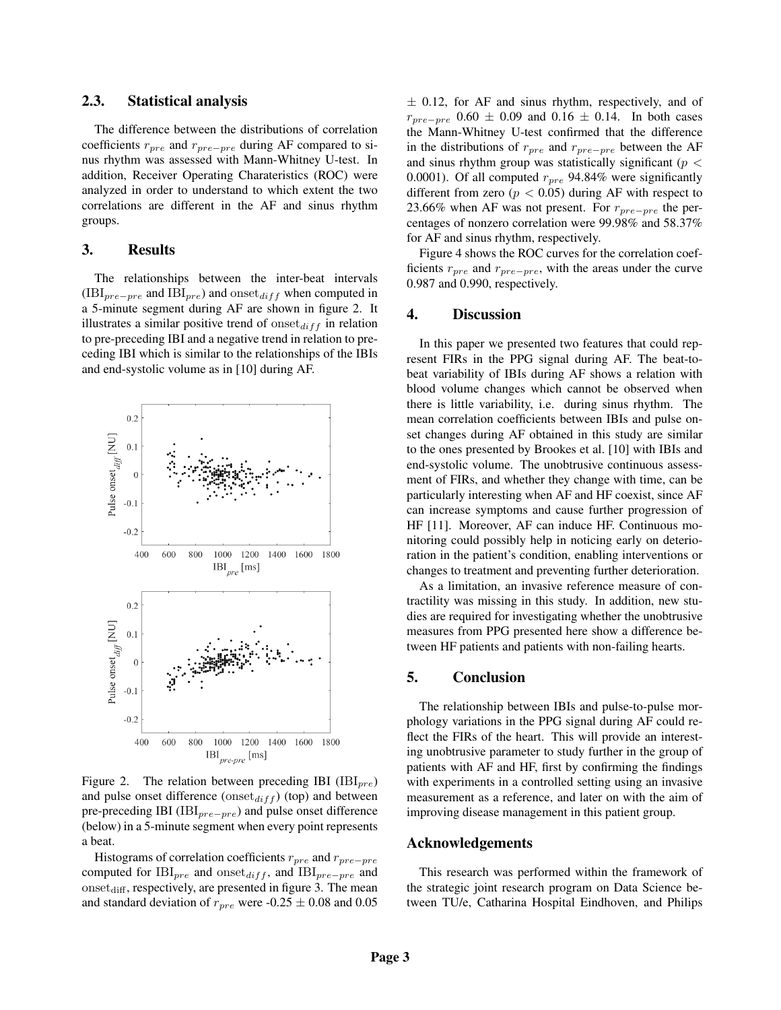## 2.3. Statistical analysis

The difference between the distributions of correlation coefficients  $r_{pre}$  and  $r_{pre-pre}$  during AF compared to sinus rhythm was assessed with Mann-Whitney U-test. In addition, Receiver Operating Charateristics (ROC) were analyzed in order to understand to which extent the two correlations are different in the AF and sinus rhythm groups.

## 3. Results

The relationships between the inter-beat intervals  $(H\text{III}_{pre-pre})$  and  $I\text{III}_{pre})$  and  $\text{onset}_{diff}$  when computed in a 5-minute segment during AF are shown in figure 2. It illustrates a similar positive trend of  $\{O(1)\}$  in relation to pre-preceding IBI and a negative trend in relation to preceding IBI which is similar to the relationships of the IBIs and end-systolic volume as in [10] during AF.



Figure 2. The relation between preceding IBI ( $IBI_{pre}$ ) and pulse onset difference ( $\text{onset}_{diff}$ ) (top) and between pre-preceding IBI ( $IBI_{pre-pre}$ ) and pulse onset difference (below) in a 5-minute segment when every point represents a beat.

Histograms of correlation coefficients  $r_{pre}$  and  $r_{pre-pre}$ computed for IBI<sub>pre</sub> and onset<sub>diff</sub>, and IBI<sub>pre−pre</sub> and  $onset_{diff}$ , respectively, are presented in figure 3. The mean and standard deviation of  $r_{pre}$  were -0.25  $\pm$  0.08 and 0.05  $\pm$  0.12, for AF and sinus rhythm, respectively, and of  $r_{pre-pre}$  0.60  $\pm$  0.09 and 0.16  $\pm$  0.14. In both cases the Mann-Whitney U-test confirmed that the difference in the distributions of  $r_{pre}$  and  $r_{pre-pre}$  between the AF and sinus rhythm group was statistically significant ( $p <$ 0.0001). Of all computed  $r_{pre}$  94.84% were significantly different from zero ( $p < 0.05$ ) during AF with respect to 23.66% when AF was not present. For  $r_{pre-pre}$  the percentages of nonzero correlation were 99.98% and 58.37% for AF and sinus rhythm, respectively.

Figure 4 shows the ROC curves for the correlation coefficients  $r_{pre}$  and  $r_{pre-pre}$ , with the areas under the curve 0.987 and 0.990, respectively.

## 4. Discussion

In this paper we presented two features that could represent FIRs in the PPG signal during AF. The beat-tobeat variability of IBIs during AF shows a relation with blood volume changes which cannot be observed when there is little variability, i.e. during sinus rhythm. The mean correlation coefficients between IBIs and pulse onset changes during AF obtained in this study are similar to the ones presented by Brookes et al. [10] with IBIs and end-systolic volume. The unobtrusive continuous assessment of FIRs, and whether they change with time, can be particularly interesting when AF and HF coexist, since AF can increase symptoms and cause further progression of HF [11]. Moreover, AF can induce HF. Continuous monitoring could possibly help in noticing early on deterioration in the patient's condition, enabling interventions or changes to treatment and preventing further deterioration.

As a limitation, an invasive reference measure of contractility was missing in this study. In addition, new studies are required for investigating whether the unobtrusive measures from PPG presented here show a difference between HF patients and patients with non-failing hearts.

## 5. Conclusion

The relationship between IBIs and pulse-to-pulse morphology variations in the PPG signal during AF could reflect the FIRs of the heart. This will provide an interesting unobtrusive parameter to study further in the group of patients with AF and HF, first by confirming the findings with experiments in a controlled setting using an invasive measurement as a reference, and later on with the aim of improving disease management in this patient group.

### Acknowledgements

This research was performed within the framework of the strategic joint research program on Data Science between TU/e, Catharina Hospital Eindhoven, and Philips